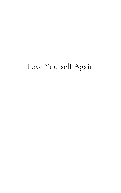## Love Yourself Again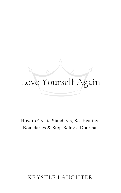# Love Yourself Again

How to Create Standards, Set Healthy Boundaries & Stop Being a Doormat

#### KRYSTLE LAUGHTER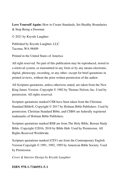**Love Yourself Again:** How to Create Standards, Set Healthy Boundaries & Stop Being a Doormat

© 2021 by Krystle Laughter

Published by Krystle Laughter, LLC Tacoma, WA 98409

Printed in the United States of America

All right reserved. No part of this publication may be reproduced, stored in a retrieval system, or transmitted in any form or by any means-electronic, digital, photocopy, recording, or any other- except for brief quotations in printed reviews, without the prior written permission of the author.

All Scripture quotations, unless otherwise stated, are taken from the New King James Version. Copyright © 1982 by Thomas Nelson, Inc. Used by permission. All rights reserved.

Scripture quotations marked CSB have been taken from the Christian Standard Bible®, Copyright © 2017 by Holman Bible Publishers. Used by permission. Christian Standard Bible, and CSB® are federally registered trademarks of Holman Bible Publishers.

Scripture quotations marked BSB are from The Holy Bible, Berean Study Bible. Copyright ©2016, 2018 by Bible Hub. Used by Permission. All Rights Reserved Worldwide.

Scripture quotations marked (CEV) are from the Contemporary English Version Copyright © 1991, 1992, 1995 by American Bible Society. Used by Permission.

*Cover & Interior Design by Krystle Laughter*

**ISBN 978-1-7346951-5-1**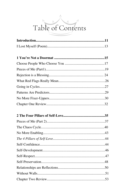## Table of Contents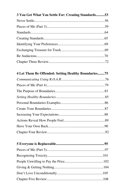| 3 You Get What You Settle For: Creating Standards 53 |  |
|------------------------------------------------------|--|
|                                                      |  |
|                                                      |  |
|                                                      |  |
|                                                      |  |
|                                                      |  |
|                                                      |  |
|                                                      |  |
|                                                      |  |
|                                                      |  |
| 4 Let Them Be Offended: Setting Healthy Boundaries75 |  |
|                                                      |  |
|                                                      |  |
|                                                      |  |
|                                                      |  |
|                                                      |  |
|                                                      |  |
|                                                      |  |
|                                                      |  |
|                                                      |  |
|                                                      |  |
|                                                      |  |
|                                                      |  |
|                                                      |  |
|                                                      |  |
|                                                      |  |
|                                                      |  |
|                                                      |  |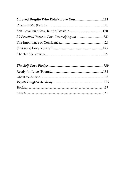| 6 Loved Despite Who Didn't Love You111 |  |
|----------------------------------------|--|
|                                        |  |
|                                        |  |
|                                        |  |
|                                        |  |
|                                        |  |
|                                        |  |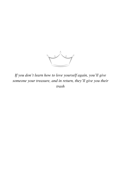

*If you don't learn how to love yourself again, you'll give someone your treasure, and in return, they'll give you their trash*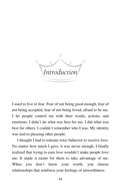*Introduction*

I used to live in fear. Fear of not being good enough, fear of not being accepted, fear of not being loved, afraid to be me. I let people control me with their words, actions, and emotions. I didn't do what was best for me. I did what was best for others. I couldn't remember who I was. My identity was tied to pleasing other people.

I thought I had to tolerate toxic behavior to receive love. No matter how much I gave, it was never enough. I finally realized that trying to earn love wouldn't make people love me. It made it easier for them to take advantage of me. When you don't know your worth, you choose relationships that reinforce your feelings of unworthiness.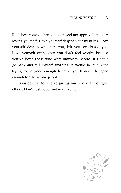Real love comes when you stop seeking approval and start loving yourself. Love yourself despite your mistakes. Love yourself despite who hurt you, left you, or abused you. Love yourself even when you don't feel worthy because you've loved those who were unworthy before. If I could go back and tell myself anything, it would be this: Stop trying to be good enough because you'll never be good enough for the wrong people.

You deserve to receive just as much love as you give others. Don't rush love, and never settle.

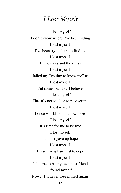### *I Lost Myself*

I lost myself I don't know where I've been hiding I lost myself I've been trying hard to find me I lost myself In the mess and the stress I lost myself I failed my "getting to know me" test I lost myself But somehow, I still believe I lost myself That it's not too late to recover me I lost myself I once was blind, but now I see I lost myself It's time for me to be free I lost myself I almost gave up hope I lost myself I was trying hard just to cope I lost myself It's time to be my own best friend I found myself Now…I'll never lose myself again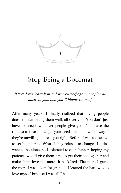

### Stop Being a Doormat

*If you don't learn how to love yourself again, people will mistreat you, and you'll blame yourself*

After many years, I finally realized that loving people doesn't mean letting them walk all over you. You don't just have to accept whatever people give you. You have the right to ask for more, get your needs met, and walk away if they're unwilling to treat you right. Before, I was too scared to set boundaries. What if they refused to change? I didn't want to be alone, so I tolerated toxic behavior, hoping my patience would give them time to get their act together and make them love me more. It backfired. The more I gave, the more I was taken for granted. I learned the hard way to love myself because I was all I had.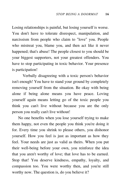Losing relationships is painful, but losing yourself is worse. You don't have to tolerate disrespect, manipulation, and narcissism from people who claim to "love" you. People who mistreat you, blame you, and then act like it never happened; that's abuse! The people closest to you should be your biggest supporters, not your greatest offenders. You have to stop participating in toxic behavior. Your presence is participation!

Verbally disagreeing with a toxic person's behavior isn't enough! You have to stand your ground by completely removing yourself from the situation. Be okay with being alone if being alone means you have peace. Loving yourself again means letting go of the toxic people you think you can't live without because you are the only person you really can't live without!

No one benefits when you lose yourself trying to make them happy, not even the people you think you're doing it for. Every time you shrink to please others, you dishonor yourself. How you feel is just as important as how they feel. Your needs are just as valid as theirs. When you put their well-being before your own, you reinforce the idea that you aren't worthy of love; that love has to be earned. Stop that! You deserve kindness, empathy, loyalty, and compassion too. You were worthy then, and you're still worthy now. The question is, do you believe it?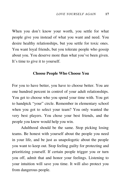When you don't know your worth, you settle for what people give you instead of what you want and need. You desire healthy relationships, but you settle for toxic ones. You want loyal friends, but you tolerate people who gossip about you. You deserve more than what you've been given. It's time to give it to yourself.

#### **Choose People Who Choose You**

For you to have better, you have to choose better. You are one hundred percent in control of your adult relationships. You get to choose who you spend your time with. You get to handpick "your" circle. Remember in elementary school when you got to select your team? You only wanted the very best players. You chose your best friends, and the people you knew would help you win.

Adulthood should be the same. Stop picking losing teams. Be honest with yourself about the people you need in your life, and be just as unapologetic about the people you want to keep out. Stop feeling guilty for protecting and prioritizing yourself. If certain people trigger you or turn you off, admit that and honor your feelings. Listening to your intuition will save you time. It will also protect you from dangerous people.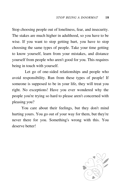Stop choosing people out of loneliness, fear, and insecurity. The stakes are much higher in adulthood, so you have to be wise. If you want to stop getting hurt, you have to stop choosing the same types of people. Take your time getting to know yourself, learn from your mistakes, and distance yourself from people who aren't good for you. This requires being in touch with yourself.

Let go of one-sided relationships and people who avoid responsibility. Run from these types of people! If someone is supposed to be in your life, they will treat you right. No exceptions! Have you ever wondered why the people you're trying so hard to please aren't concerned with pleasing you?

You care about their feelings, but they don't mind hurting yours. You go out of your way for them, but they're never there for you. Something's wrong with this. You deserve better!

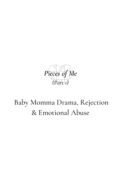

## Baby Momma Drama, Rejection & Emotional Abuse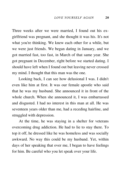Three weeks after we were married, I found out his exgirlfriend was pregnant, and she thought it was his. It's not what you're thinking. We knew each other for a while, but we were just friends. We began dating in January, and we got married fast, too fast, in March of that same year. She got pregnant in December, right before we started dating. I should have left when I found out but leaving never crossed my mind. I thought that this man was the one.

Looking back, I can see how delusional I was. I didn't even like him at first. It was our female apostle who said that he was my husband. She announced it in front of the whole church. When she announced it, I was embarrassed and disgusted. I had no interest in this man at all. He was seventeen years older than me, had a receding hairline, and struggled with depression.

At the time, he was staying in a shelter for veterans overcoming drug addiction. He had to lie to stay there. To top it off, he dressed like he was homeless and was socially awkward. No way this could be my husband. Yet, within days of her speaking that over me, I began to have feelings for him. Be careful who you let speak over your life.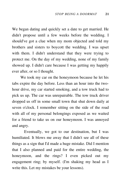We began dating and quickly set a date to get married. He didn't propose until a few weeks before the wedding. I should've got a clue when my mom objected and told my brothers and sisters to boycott the wedding. I was upset with them. I didn't understand that they were trying to protect me. On the day of my wedding, none of my family showed up. I didn't care because I was getting my happily ever after, or so I thought.

We took my car on the honeymoon because he let his tabs expire the day before. Less than an hour into the twohour drive, my car started smoking, and a tow truck had to pick us up. The car was unrepairable. The tow truck driver dropped us off in some small town that shut down daily at seven o'clock. I remember sitting on the side of the road with all of my personal belongings exposed as we waited for a friend to take us on our honeymoon. I was annoyed and angry.

Eventually, we got to our destination, but I was humiliated. It blows me away that I didn't see all of these things as a sign that I'd made a huge mistake. Did I mention that I also planned and paid for the entire wedding, the honeymoon, and the rings? I even picked out my engagement ring; by myself. (I'm shaking my head as I write this. Let my mistakes be your lessons).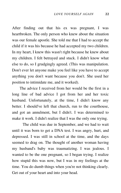After finding out that his ex was pregnant, I was heartbroken. The only person who knew about the situation was our female apostle. She told me that I had to accept the child if it was his because he had accepted my two children. In my heart, I knew this wasn't right because he knew about my children. I felt betrayed and stuck. I didn't know what else to do, so I grudgingly agreed. (This was manipulation. Don't ever let anyone make you feel like you have to accept anything you don't want because you don't. She used her position to intimidate me, and it worked).

The advice I received from her would be the first in a long line of bad advice I got from her and her toxic husband. Unfortunately, at the time, I didn't know any better. I should've left that church, run to the courthouse, and got an annulment, but I didn't. I was determined to make it work. I didn't realize that I was the only one trying.

The child was due in September, and we had to wait until it was born to get a DNA test. I was angry, hurt, and depressed. I was still in school at the time, and the days seemed to drag on. The thought of another woman having my husband's baby was traumatizing. I was jealous. I wanted to be the one pregnant, so I began trying. I realize how stupid this was now, but I was in my feelings at the time. You do dumb things when you're not thinking clearly. Get out of your heart and into your head.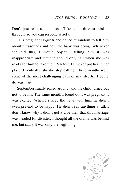Don't just react to situations. Take some time to think it through, so you can respond wisely.

His pregnant ex-girlfriend called at random to tell him about ultrasounds and how the baby was doing. Whenever she did this, I would object, telling him it was inappropriate and that she should only call when she was ready for him to take the DNA test. He never put her in her place. Eventually, she did stop calling. Those months were some of the most challenging days of my life. All I could do was wait.

September finally rolled around, and the child turned out not to be his. The same month I found out I was pregnant. I was excited. When I shared the news with him, he didn't even pretend to be happy. He didn't say anything at all. I don't know why I didn't get a clue then that this marriage was headed for disaster. I thought all the drama was behind me, but sadly it was only the beginning.

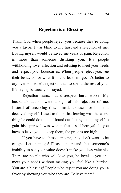#### **Rejection is a Blessing**

Thank God when people reject you because they're doing you a favor. I was blind to my husband's rejection of me. Loving myself would've saved me years of pain. Rejection is more than someone disliking you. It's people withholding love, affection and refusing to meet your needs and respect your boundaries. When people reject you, see their behavior for what it is and let them go. It's better to cry over someone's rejection than to spend the rest of your life crying because you stayed.

Rejection hurts, but disrespect hurts worse. My husband's actions were a sign of his rejection of me. Instead of accepting this, I made excuses for him and deceived myself. I used to think that leaving was the worst thing he could do to me. I found out that rejecting myself to gain his approval was worse; that's self-betrayal. If you have to leave you, to keep them, the price is too high!

If you have to chase someone, they don't want to be caught. Let them go! Please understand that someone's inability to see your value doesn't make you less valuable. There are people who will love you, be loyal to you and meet your needs without making you feel like a burden. You are a blessing! People who reject you are doing you a favor by showing you who they are. Believe them!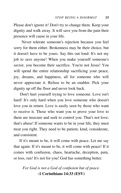Please don't ignore it! Don't try to change them. Keep your dignity and walk away. It will save you from the pain their presence will cause in your life.

Never tolerate someone's rejection because you feel sorry for them either. Brokenness may be their choice, but it doesn't have to be yours. Say this out loud: It's not my job to save anyone! When you make yourself someone's savior, you become their sacrifice. You're not Jesus! You will spend the entire relationship sacrificing your peace, joy, dreams, and happiness, all for someone who will never appreciate it. Refuse to be an enabler. Pick your dignity up off the floor and never look back.

Don't hurt yourself trying to love someone. Love isn't hard! It's only hard when you love someone who doesn't love you in return. Love is easily seen by those who want to receive it. Those who want you to prove your love to them are insecure and seek to control you. That's not love; that's abuse! If someone wants to be in your life, they must treat you right. They need to be patient, kind, considerate, and consistent.

If it's meant to be, it will come with peace. Let me say that again: If it's meant to be, it will come with peace! If it comes with confusion, chaos, heartache, deception, pain, or loss, run! It's not for you! God has something better.

*For God is not a God of confusion but of peace.* **-1 Corinthians 14:33 (ESV)**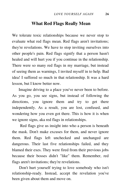#### **What Red Flags Really Mean**

We tolerate toxic relationships because we never stop to evaluate what red flags mean. Red flags aren't invitations; they're revelations. We have to stop inviting ourselves into other people's pain. Red flags signify that a person hasn't healed and will hurt you if you continue in the relationship. There were so many red flags in my marriage, but instead of seeing them as warnings, I invited myself in to help. Bad idea! I suffered so much in that relationship. It was a hard lesson, but I know better now.

Imagine driving to a place you've never been to before. As you go, you see signs, but instead of following the directions, you ignore them and try to get there independently. As a result, you are lost, confused, and wondering how you even got there. This is how it is when we ignore signs, aka red flags in relationships.

Red flags give us insight into who a person is beneath the mask. Don't make excuses for them, and never ignore them. Red flags left unchecked and unchanged are dangerous. Their last five relationships failed, and they blamed their exes. They were fired from their previous jobs because their bosses didn't "like" them. Remember, red flags aren't invitations; they're revelations.

Don't hurt yourself trying to love somebody who isn't relationship-ready. Instead, accept the revelation you've been given about them and move on.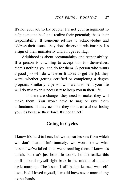It's not your job to fix people! It's not your assignment to help someone heal and realize their potential; that's their responsibility. If someone refuses to acknowledge and address their issues, they don't deserve a relationship. It's a sign of their immaturity and a huge red flag.

Adulthood is about accountability and responsibility. If a person is unwilling to accept this for themselves, there's nothing you can do for them. A person who wants a good job will do whatever it takes to get the job they want, whether getting certified or completing a degree program. Similarly, a person who wants to be in your life will do whatever is necessary to keep you in their life.

If there are changes they need to make, they will make them. You won't have to nag or give them ultimatums. If they act like they don't care about losing you, it's because they don't. It's not an act!

#### **Going in Cycles**

I know it's hard to hear, but we repeat lessons from which we don't learn. Unfortunately, we won't know what lessons we've failed until we're retaking them. I know it's unfair, but that's just how life works. I didn't realize this until I found myself right back in the middle of another toxic marriage. The lesson I still hadn't learned was selflove. Had I loved myself, I would have never married my ex-husbands.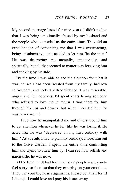My second marriage lasted for nine years. I didn't realize that I was being emotionally abused by my husband and the people who counseled us the entire time. They did an excellent job of convincing me that I was overreacting, being unsubmissive, and needed to let him "be the man." He was destroying me mentally, emotionally, and spiritually, but all that seemed to matter was forgiving him and sticking by his side.

By the time I was able to see the situation for what it was, abuse! I had been isolated from my family, had low self-esteem, and lacked self-confidence. I was miserable, angry, and felt hopeless. I'd spent years loving someone who refused to love me in return. I was there for him through his ups and downs, but when I needed him, he was never around.

I see how he manipulated me and others around him to get attention whenever he felt like he was losing it. He acted like he was "depressed on my first birthday with him." As a result, I had to plan my birthday. I took him out to the Olive Garden. I spent the entire time comforting him and trying to cheer him up. I can see how selfish and narcissistic he was now.

At the time, I felt bad for him. Toxic people want you to feel sorry for them so that they can play on your emotions. They use your big hearts against us. Please don't fall for it! I thought I could love and pray his issues away.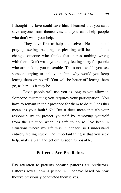I thought my love could save him. I learned that you can't save anyone from themselves, and you can't help people who don't want your help.

They have first to help themselves. No amount of praying, sexing, begging, or pleading will be enough to change someone who thinks that there's nothing wrong with them. Don't waste your energy feeling sorry for people who are making you miserable. That's not love! If you see someone trying to sink your ship, why would you keep letting them on board? You will be better off letting them go, as hard as it may be.

Toxic people will use you as long as you allow it. Someone mistreating you requires your participation. You have to remain in their presence for them to do it. Does this mean it's your fault? No! But it does mean that it's your responsibility to protect yourself by removing yourself from the situation when it's safe to do so. I've been in situations where my life was in danger, so I understand entirely feeling stuck. The important thing is that you seek help, make a plan and get out as soon as possible.

#### **Patterns Are Predictors**

Pay attention to patterns because patterns are predictors. Patterns reveal how a person will behave based on how they've previously conducted themselves.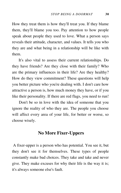How they treat them is how they'll treat you. If they blame them, they'll blame you too. Pay attention to how people speak about people they used to love. What a person says reveals their attitude, character, and values. It tells you who they are and what being in a relationship will be like with them.

It's also vital to assess their current relationships. Do they have friends? Are they close with their family? Who are the primary influences in their life? Are they healthy? How do they view commitment? These questions will help you better picture who you're dealing with. I don't care how attractive a person is, how much money they have, or if you like their personality. If there are red flags, you need to run!

Don't be so in love with the idea of someone that you ignore the reality of who they are. The people you choose will affect every area of your life, for better or worse, so choose wisely.

#### **No More Fixer-Uppers**

A fixer-upper is a person who has potential. You see it, but they don't see it for themselves. These types of people constantly make bad choices. They take and take and never give. They make excuses for why their life is the way it is; it's always someone else's fault.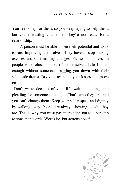You feel sorry for them, so you keep trying to help them, but you're wasting your time. They're not ready for a relationship.

A person must be able to see their potential and work toward improving themselves. They have to stop making excuses and start making changes. Please don't invest in people who refuse to invest in themselves. Life is hard enough without someone dragging you down with their self-made drama. Dry your tears, cut your losses, and move on!

Don't waste decades of your life waiting, hoping, and pleading for someone to change. That's who they are, and you can't change them. Keep your self-respect and dignity by walking away. People are always showing us who they are. This is why you must pay more attention to a person's actions than words. Words lie, but actions don't!

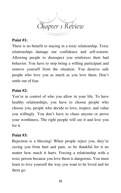

#### **Point #1:**

There is no benefit to staying in a toxic relationship. Toxic relationships damage our confidence and self-esteem. Allowing people to disrespect you reinforces their bad behavior. You have to stop being a willing participant and remove yourself from the situation. You deserve safe people who love you as much as you love them. Don't settle out of fear.

#### **Point #2:**

You're in control of who you allow in your life. To have healthy relationships, you have to choose people who choose you, people who decide to love, respect, and value you willingly. You don't have to chase anyone or prove your worthiness. The right people will see it and love you for it.

#### **Point #3:**

Rejection is a blessing! When people reject you, they're saving you from hurt and pain, so be thankful for it no matter how much it hurts. Forcing a relationship with a toxic person because you love them is dangerous. You must learn to love yourself the way you want to be loved and let them go.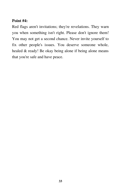#### **Point #4:**

Red flags aren't invitations; they're revelations. They warn you when something isn't right. Please don't ignore them! You may not get a second chance. Never invite yourself to fix other people's issues. You deserve someone whole, healed & ready! Be okay being alone if being alone means that you're safe and have peace.